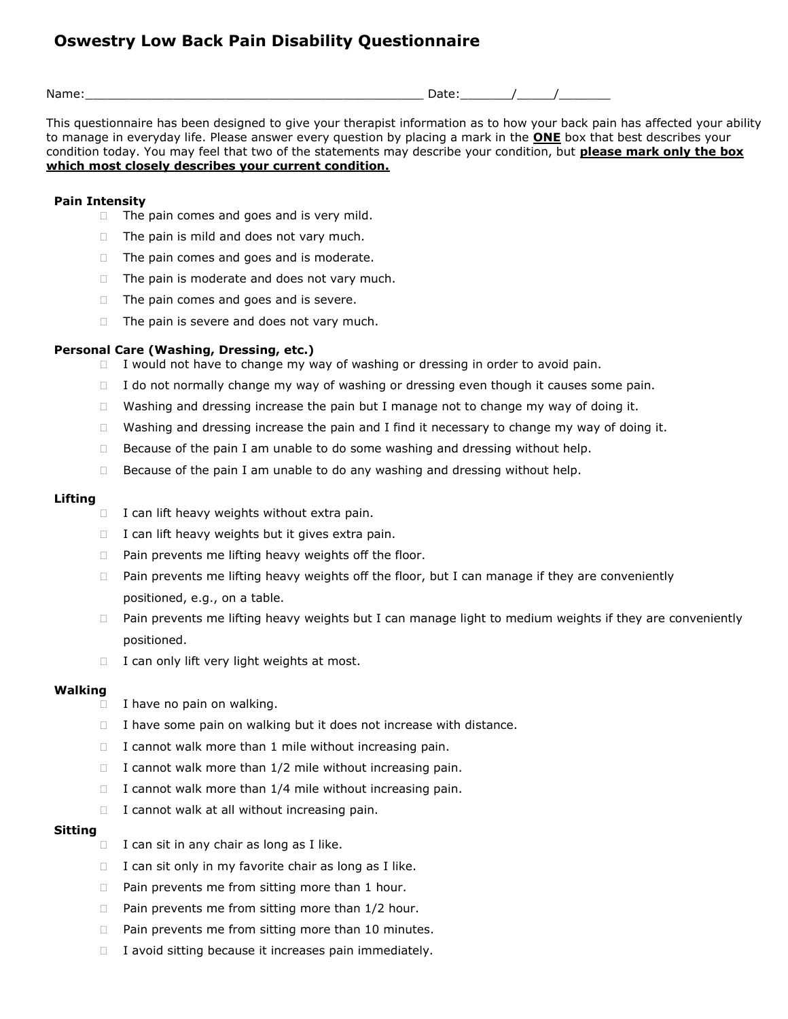# **Oswestry Low Back Pain Disability Questionnaire**

Name:  $\blacksquare$ 

This questionnaire has been designed to give your therapist information as to how your back pain has affected your ability to manage in everyday life. Please answer every question by placing a mark in the **ONE** box that best describes your condition today. You may feel that two of the statements may describe your condition, but **please mark only the box which most closely describes your current condition.**

## **Pain Intensity**

- $\Box$  The pain comes and goes and is very mild.
- $\Box$  The pain is mild and does not vary much.
- $\Box$  The pain comes and goes and is moderate.
- $\Box$  The pain is moderate and does not vary much.
- $\Box$  The pain comes and goes and is severe.
- $\Box$  The pain is severe and does not vary much.

## **Personal Care (Washing, Dressing, etc.)**

- $\Box$  I would not have to change my way of washing or dressing in order to avoid pain.
- $\Box$  I do not normally change my way of washing or dressing even though it causes some pain.
- $\Box$  Washing and dressing increase the pain but I manage not to change my way of doing it.
- $\Box$  Washing and dressing increase the pain and I find it necessary to change my way of doing it.
- $\Box$  Because of the pain I am unable to do some washing and dressing without help.
- $\Box$  Because of the pain I am unable to do any washing and dressing without help.

## **Lifting**

- $\Box$  I can lift heavy weights without extra pain.
- $I$  can lift heavy weights but it gives extra pain.
- $\Box$  Pain prevents me lifting heavy weights off the floor.
- $\Box$  Pain prevents me lifting heavy weights off the floor, but I can manage if they are conveniently positioned, e.g., on a table.
- $\Box$  Pain prevents me lifting heavy weights but I can manage light to medium weights if they are conveniently positioned.
- $I$  can only lift very light weights at most.

## **Walking**

- I have no pain on walking.
- $\Box$  I have some pain on walking but it does not increase with distance.
- $\Box$  I cannot walk more than 1 mile without increasing pain.
- I cannot walk more than  $1/2$  mile without increasing pain.
- I cannot walk more than  $1/4$  mile without increasing pain.
- $\Box$  I cannot walk at all without increasing pain.

## **Sitting**

- $\Box$  I can sit in any chair as long as I like.
- $\Box$  I can sit only in my favorite chair as long as I like.
- $\Box$  Pain prevents me from sitting more than 1 hour.
- $\Box$  Pain prevents me from sitting more than  $1/2$  hour.
- $\Box$  Pain prevents me from sitting more than 10 minutes.
- $\Box$  I avoid sitting because it increases pain immediately.